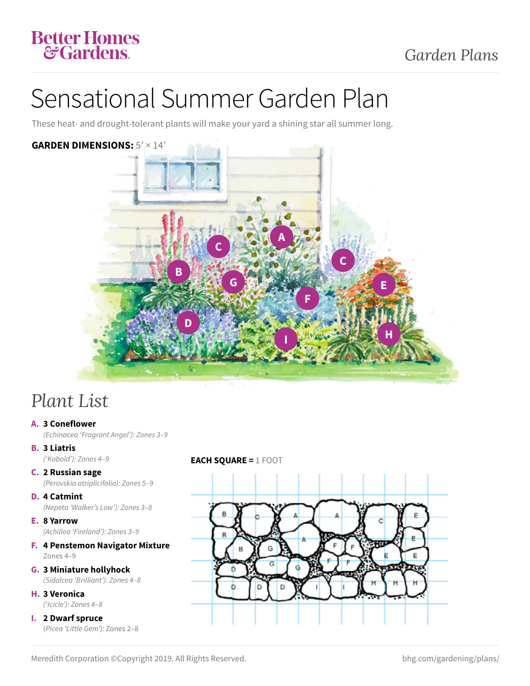### Better Homes **&Gardens**

# Sensational Summer Garden Plan

These heat- and drought-tolerant plants will make your yard a shining star all summer long.

### **GARDEN DIMENSIONS:** 5' × 14'



### *Plant List*

**A. 3 Coneflower** 

*(Echinacea 'Fragrant Angel'): Zones 3–9* 

- **B. 3 Liatris**
- **C. 2 Russian sage**

*(Perovskia atriplicifolia): Zones 5–9* 

- **D. 4 Catmint**  *(Nepeta 'Walker's Low'): Zones 3–8*
- **E. 8 Yarrow**  *(Achillea 'Fireland'): Zones 3–9*
- **F. 4 Penstemon Navigator Mixture**  Zones 4–9
- **G. 3 Miniature hollyhock**  *(Sidalcea 'Brilliant'): Zones 4–8*
- **H. 3 Veronica**  *('Icicle'): Zones 4–8*
- **I. 2 Dwarf spruce**  (*Picea 'Little Gem'*): Zones 2–8